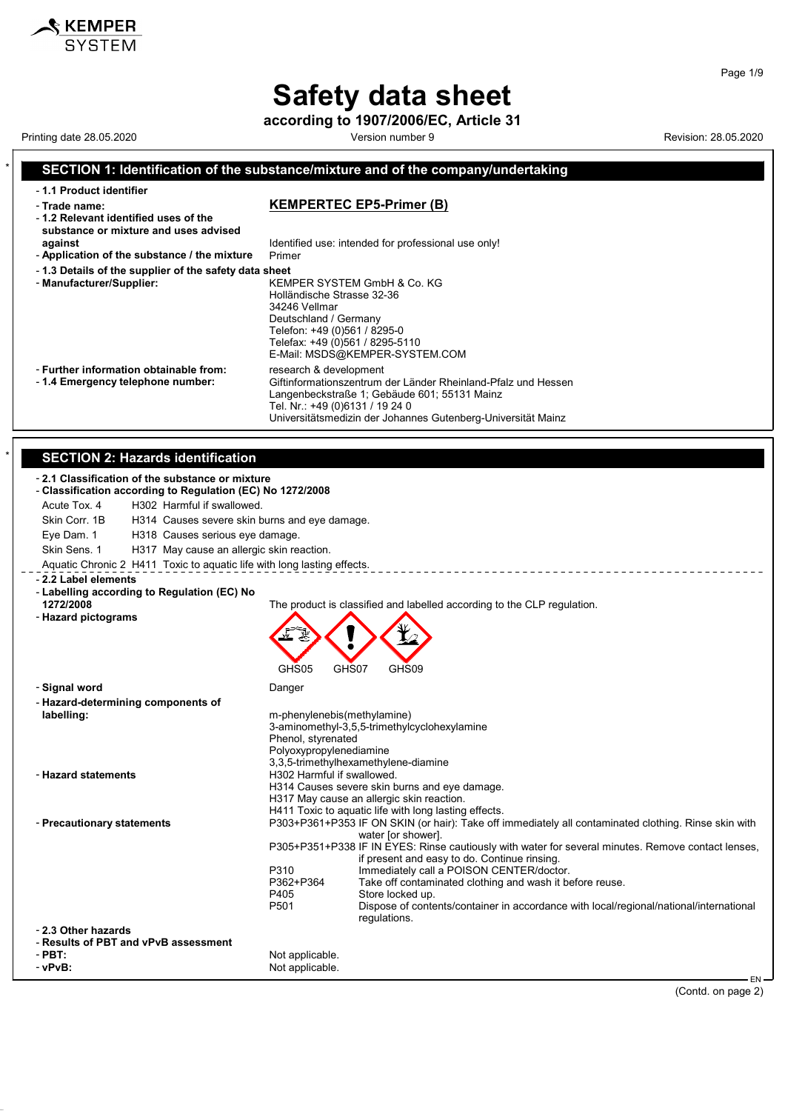**according to 1907/2006/EC, Article 31**

Printing date 28.05.2020 **Version number 9** Version number 9 Revision: 28.05.2020

 $\mathbf{\hat{\mathcal{S}}}$  KEMPER

#### \* **SECTION 1: Identification of the substance/mixture and of the company/undertaking** - **1.1 Product identifier** - **Trade name: KEMPERTEC EP5-Primer (B)** - **1.2 Relevant identified uses of the substance or mixture and uses advised against against Identified use: intended for professional use only!**<br>**Application of the substance / the mixture** Primer - Application of the substance / the mixture - **1.3 Details of the supplier of the safety data sheet** - **Manufacturer/Supplier:** KEMPER SYSTEM GmbH & Co. KG Holländische Strasse 32-36 34246 Vellmar Deutschland / Germany Telefon: +49 (0)561 / 8295-0 Telefax: +49 (0)561 / 8295-5110 E-Mail: MSDS@KEMPER-SYSTEM.COM - **Further information obtainable from:** research & development<br>- 1.4 **Emergency telephone number:** Giftinformationszentrum Giftinformationszentrum der Länder Rheinland-Pfalz und Hessen Langenbeckstraße 1; Gebäude 601; 55131 Mainz Tel. Nr.: +49 (0)6131 / 19 24 0 Universitätsmedizin der Johannes Gutenberg-Universität Mainz **SECTION 2: Hazards identification** - **2.1 Classification of the substance or mixture** - **Classification according to Regulation (EC) No 1272/2008** Acute Tox. 4 H302 Harmful if swallowed. Skin Corr. 1B H314 Causes severe skin burns and eye damage. Eye Dam. 1 H318 Causes serious eye damage. Skin Sens. 1 H317 May cause an allergic skin reaction. Aquatic Chronic 2 H411 Toxic to aquatic life with long lasting effects. - **2.2 Label elements** - **Labelling according to Regulation (EC) No** The product is classified and labelled according to the CLP regulation. - **Hazard pictograms** GHS05 GHS07 GHS09 - **Signal word** Danger - **Hazard-determining components of labelling:** m-phenylenebis(methylamine) 3-aminomethyl-3,5,5-trimethylcyclohexylamine Phenol, styrenated Polyoxypropylenediamine 3,3,5-trimethylhexamethylene-diamine - **Hazard statements** H302 Harmful if swallowed. H314 Causes severe skin burns and eye damage. H317 May cause an allergic skin reaction. H411 Toxic to aquatic life with long lasting effects. - **Precautionary statements** P303+P361+P353 IF ON SKIN (or hair): Take off immediately all contaminated clothing. Rinse skin with water [or shower]. P305+P351+P338 IF IN EYES: Rinse cautiously with water for several minutes. Remove contact lenses, if present and easy to do. Continue rinsing. P310 Immediately call a POISON CENTER/doctor.<br>P362+P364 Take off contaminated clothing and wash it b P362+P364 Take off contaminated clothing and wash it before reuse.<br>P405 Store locked up P405 Store locked up.<br>P501 Dispose of conte Dispose of contents/container in accordance with local/regional/national/international regulations. - **2.3 Other hazards** - **Results of PBT and vPvB assessment** - **PBT:**<br>
- **PPVB:**<br>
- **Not** applicable. Not applicable. EN

(Contd. on page 2)

Page 1/9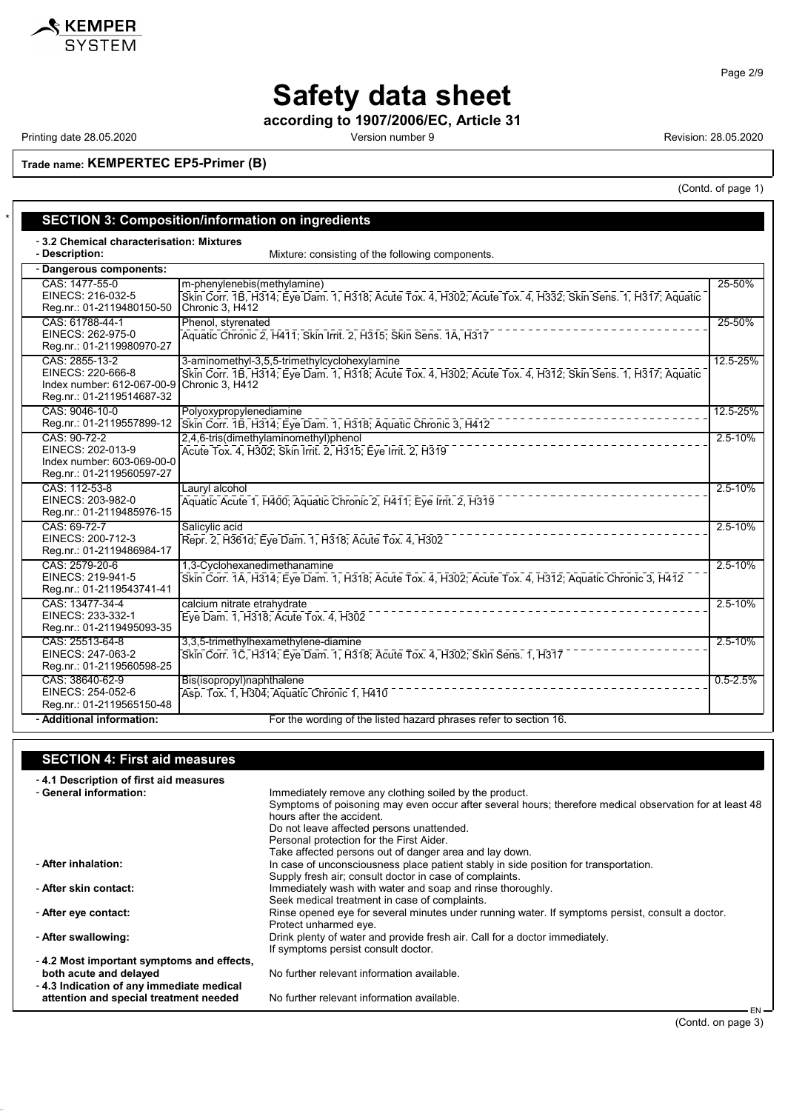

Page 2/9

# **Safety data sheet**

**according to 1907/2006/EC, Article 31**

Printing date 28.05.2020 **Printing date 28.05.2020** Cersion number 9 Revision: 28.05.2020

(Contd. of page 1)

**Trade name: KEMPERTEC EP5-Primer (B)**

|                                                                                                | <b>SECTION 3: Composition/information on ingredients</b>                                                                                                                      |              |
|------------------------------------------------------------------------------------------------|-------------------------------------------------------------------------------------------------------------------------------------------------------------------------------|--------------|
| -3.2 Chemical characterisation: Mixtures<br>- Description:                                     | Mixture: consisting of the following components.                                                                                                                              |              |
| - Dangerous components:                                                                        |                                                                                                                                                                               |              |
| CAS: 1477-55-0<br>EINECS: 216-032-5<br>Reg.nr.: 01-2119480150-50                               | m-phenylenebis(methylamine)<br>Skin Corr. 1B, H314; Eye Dam. 1, H318; Acute Tox. 4, H302; Acute Tox. 4, H332; Skin Sens. 1, H317; Aquatic<br>Chronic 3, H412                  | 25-50%       |
| CAS: 61788-44-1<br>EINECS: 262-975-0<br>Reg.nr.: 01-2119980970-27                              | Phenol, styrenated<br>Aquatic Chronic 2, H411; Skin Irrit. 2, H315; Skin Sens. 1A, H317                                                                                       | 25-50%       |
| CAS: 2855-13-2<br>EINECS: 220-666-8<br>Index number: 612-067-00-9<br>Reg.nr.: 01-2119514687-32 | 3-aminomethyl-3,5,5-trimethylcyclohexylamine<br>Skin Corr. 1B, H314; Eye Dam. 1, H318; Acute Tox. 4, H302; Acute Tox. 4, H312; Skin Sens. 1, H317; Aquatic<br>Chronic 3, H412 | 12.5-25%     |
| CAS: 9046-10-0<br>Reg.nr.: 01-2119557899-12                                                    | Polyoxypropylenediamine<br>Skin Corr. 1B, H314; Eye Dam. 1, H318; Aquatic Chronic 3, H412                                                                                     | 12.5-25%     |
| CAS: 90-72-2<br>EINECS: 202-013-9<br>Index number: 603-069-00-0<br>Reg.nr.: 01-2119560597-27   | 2,4,6-tris(dimethylaminomethyl)phenol<br>Acute Tox. 4, H302; Skin Irrit. 2, H315; Eye Irrit. 2, H319                                                                          | $2.5 - 10%$  |
| CAS: 112-53-8<br>EINECS: 203-982-0<br>Reg.nr.: 01-2119485976-15                                | Lauryl alcohol<br>Aquatic Acute 1, H400; Aquatic Chronic 2, H411; Eye Irrit. 2, H319                                                                                          | 2.5-10%      |
| CAS: 69-72-7<br>EINECS: 200-712-3<br>Reg.nr.: 01-2119486984-17                                 | Salicylic acid<br>Repr. 2, H361d; Eye Dam. 1, H318; Acute Tox. 4, H302                                                                                                        | 2.5-10%      |
| CAS: 2579-20-6<br>EINECS: 219-941-5<br>Reg.nr.: 01-2119543741-41                               | 1,3-Cyclohexanedimethanamine<br>Skin Corr. 1A, H314; Eye Dam. 1, H318; Acute Tox. 4, H302; Acute Tox. 4, H312; Aquatic Chronic 3, H412                                        | $2.5 - 10%$  |
| CAS: 13477-34-4<br>EINECS: 233-332-1<br>Reg.nr.: 01-2119495093-35                              | calcium nitrate etrahydrate<br>Eye Dam. 1, H318; Acute Tox. 4, H302                                                                                                           | 2.5-10%      |
| CAS: 25513-64-8<br>EINECS: 247-063-2<br>Reg.nr.: 01-2119560598-25                              | 3,3,5-trimethylhexamethylene-diamine<br>Skin Corr. 1C, H314; Eye Dam. 1, H318; Acute Tox. 4, H302; Skin Sens. 1, H317                                                         | 2.5-10%      |
| CAS: 38640-62-9<br>EINECS: 254-052-6<br>Reg.nr.: 01-2119565150-48                              | Bis(isopropyl)naphthalene<br>Asp. Tox. 1, H304; Aquatic Chronic 1, H410                                                                                                       | $0.5 - 2.5%$ |
| - Additional information:                                                                      | For the wording of the listed hazard phrases refer to section 16.                                                                                                             |              |

### **SECTION 4: First aid measures**

- **4.1 Description of first aid measures**

| - General information:                    | Immediately remove any clothing soiled by the product.                                                  |
|-------------------------------------------|---------------------------------------------------------------------------------------------------------|
|                                           | Symptoms of poisoning may even occur after several hours; therefore medical observation for at least 48 |
|                                           | hours after the accident                                                                                |
|                                           | Do not leave affected persons unattended.                                                               |
|                                           | Personal protection for the First Aider.                                                                |
|                                           | Take affected persons out of danger area and lay down.                                                  |
| - After inhalation:                       | In case of unconsciousness place patient stably in side position for transportation.                    |
|                                           | Supply fresh air; consult doctor in case of complaints.                                                 |
| - After skin contact:                     | Immediately wash with water and soap and rinse thoroughly.                                              |
|                                           | Seek medical treatment in case of complaints.                                                           |
| - After eye contact:                      | Rinse opened eye for several minutes under running water. If symptoms persist, consult a doctor.        |
|                                           | Protect unharmed eve.                                                                                   |
| - After swallowing:                       | Drink plenty of water and provide fresh air. Call for a doctor immediately                              |
|                                           | If symptoms persist consult doctor.                                                                     |
| -4.2 Most important symptoms and effects, |                                                                                                         |
| both acute and delayed                    | No further relevant information available.                                                              |
| -4.3 Indication of any immediate medical  |                                                                                                         |
| attention and special treatment needed    | No further relevant information available.                                                              |
|                                           | ENL                                                                                                     |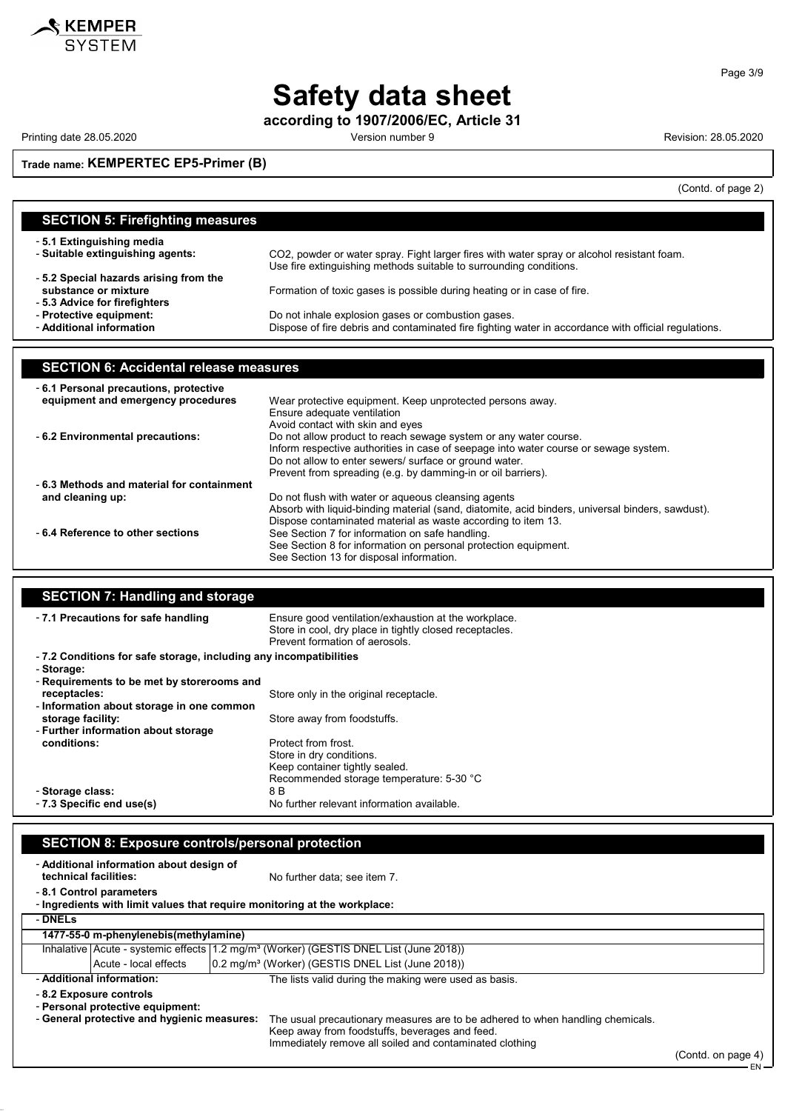

**according to 1907/2006/EC, Article 31**

Printing date 28.05.2020 **Printing date 28.05.2020** Version number 9 **Revision: 28.05.2020** 

SKEMPER

## **Trade name: KEMPERTEC EP5-Primer (B)**

 $($ Contd. of page  $2)$ 

|                                               | (Comu. or page z)                                                                                                                                                |
|-----------------------------------------------|------------------------------------------------------------------------------------------------------------------------------------------------------------------|
| <b>SECTION 5: Firefighting measures</b>       |                                                                                                                                                                  |
|                                               |                                                                                                                                                                  |
| - 5.1 Extinguishing media                     |                                                                                                                                                                  |
| - Suitable extinguishing agents:              | CO2, powder or water spray. Fight larger fires with water spray or alcohol resistant foam.<br>Use fire extinguishing methods suitable to surrounding conditions. |
| -5.2 Special hazards arising from the         |                                                                                                                                                                  |
| substance or mixture                          | Formation of toxic gases is possible during heating or in case of fire.                                                                                          |
| - 5.3 Advice for firefighters                 |                                                                                                                                                                  |
| - Protective equipment:                       | Do not inhale explosion gases or combustion gases.                                                                                                               |
| - Additional information                      | Dispose of fire debris and contaminated fire fighting water in accordance with official regulations.                                                             |
|                                               |                                                                                                                                                                  |
|                                               |                                                                                                                                                                  |
| <b>SECTION 6: Accidental release measures</b> |                                                                                                                                                                  |
| - 6.1 Personal precautions, protective        |                                                                                                                                                                  |
| equipment and emergency procedures            | Wear protective equipment. Keep unprotected persons away.                                                                                                        |
|                                               | Ensure adequate ventilation                                                                                                                                      |
| - 6.2 Environmental precautions:              | Avoid contact with skin and eyes                                                                                                                                 |
|                                               | Do not allow product to reach sewage system or any water course.<br>Inform respective authorities in case of seepage into water course or sewage system.         |
|                                               | Do not allow to enter sewers/ surface or ground water.                                                                                                           |
|                                               | Prevent from spreading (e.g. by damming-in or oil barriers).                                                                                                     |
| -6.3 Methods and material for containment     |                                                                                                                                                                  |
| and cleaning up:                              | Do not flush with water or aqueous cleansing agents                                                                                                              |
|                                               | Absorb with liquid-binding material (sand, diatomite, acid binders, universal binders, sawdust).                                                                 |
|                                               | Dispose contaminated material as waste according to item 13.                                                                                                     |
| - 6.4 Reference to other sections             | See Section 7 for information on safe handling.                                                                                                                  |
|                                               | See Section 8 for information on personal protection equipment.                                                                                                  |
|                                               | See Section 13 for disposal information.                                                                                                                         |

## **SECTION 7: Handlin**

| -7.1 Precautions for safe handling                                | Ensure good ventilation/exhaustion at the workplace.<br>Store in cool, dry place in tightly closed receptacles.<br>Prevent formation of aerosols. |
|-------------------------------------------------------------------|---------------------------------------------------------------------------------------------------------------------------------------------------|
| -7.2 Conditions for safe storage, including any incompatibilities |                                                                                                                                                   |
| - Storage:                                                        |                                                                                                                                                   |
| - Requirements to be met by storerooms and                        |                                                                                                                                                   |
| receptacles:                                                      | Store only in the original receptacle.                                                                                                            |
| - Information about storage in one common                         |                                                                                                                                                   |
| storage facility:                                                 | Store away from foodstuffs.                                                                                                                       |
| - Further information about storage                               |                                                                                                                                                   |
| conditions:                                                       | Protect from frost.                                                                                                                               |
|                                                                   | Store in dry conditions.                                                                                                                          |
|                                                                   | Keep container tightly sealed.                                                                                                                    |
|                                                                   | Recommended storage temperature: 5-30 °C                                                                                                          |
| - Storage class:                                                  | 8 B                                                                                                                                               |
| - 7.3 Specific end use(s)                                         | No further relevant information available.                                                                                                        |

| technical facilities: | - Additional information about design of                                                                   | No further data: see item 7.                                                                                                                                                                |                    |
|-----------------------|------------------------------------------------------------------------------------------------------------|---------------------------------------------------------------------------------------------------------------------------------------------------------------------------------------------|--------------------|
|                       | - 8.1 Control parameters                                                                                   | - Ingredients with limit values that require monitoring at the workplace:                                                                                                                   |                    |
| - DNELs               |                                                                                                            |                                                                                                                                                                                             |                    |
|                       | 1477-55-0 m-phenylenebis(methylamine)                                                                      |                                                                                                                                                                                             |                    |
|                       |                                                                                                            | Inhalative Acute - systemic effects 1.2 mg/m <sup>3</sup> (Worker) (GESTIS DNEL List (June 2018))                                                                                           |                    |
|                       | Acute - local effects                                                                                      | [0.2 mg/m <sup>3</sup> (Worker) (GESTIS DNEL List (June 2018))                                                                                                                              |                    |
|                       | - Additional information:                                                                                  | The lists valid during the making were used as basis.                                                                                                                                       |                    |
|                       | - 8.2 Exposure controls<br>- Personal protective equipment:<br>- General protective and hygienic measures: | The usual precautionary measures are to be adhered to when handling chemicals.<br>Keep away from foodstuffs, beverages and feed.<br>Immediately remove all soiled and contaminated clothing | (Contd. on page 4) |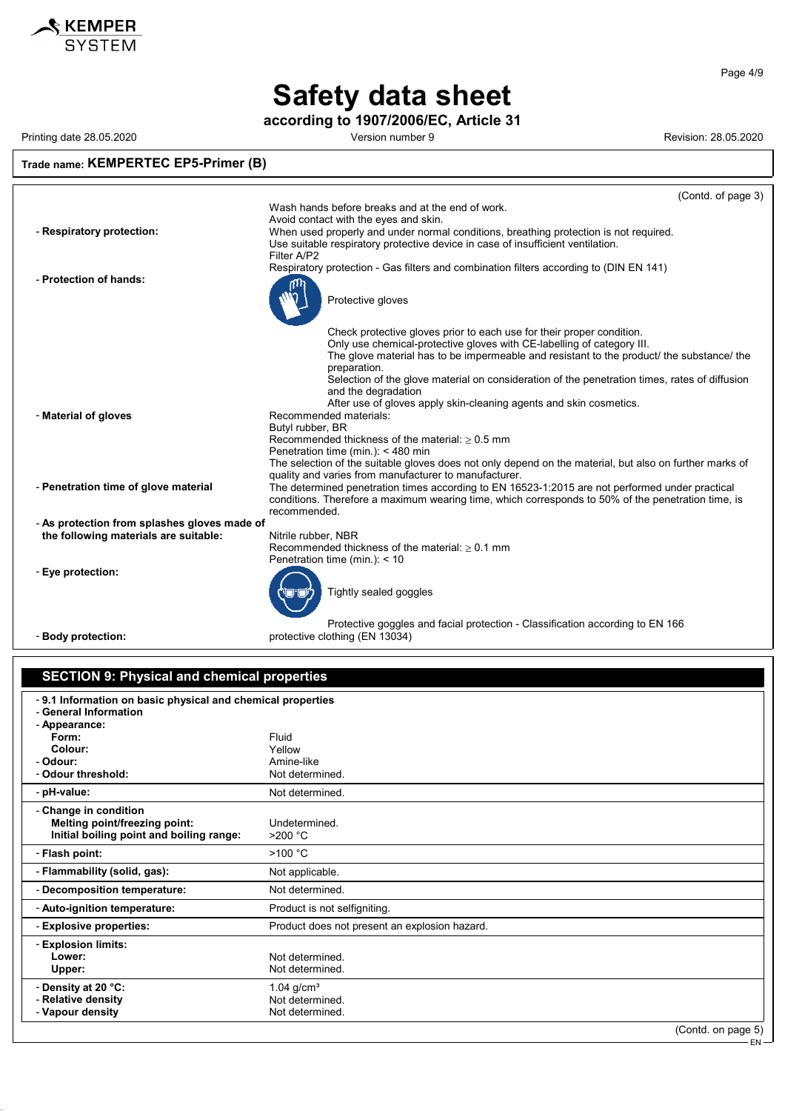

**according to 1907/2006/EC, Article 31**

Printing date 28.05.2020 **Version number 9 Version number 9** Revision: 28.05.2020

#### **Trade name: KEMPERTEC EP5-Primer (B)** (Contd. of page 3) Wash hands before breaks and at the end of work. Avoid contact with the eyes and skin. - **Respiratory protection:** When used properly and under normal conditions, breathing protection is not required. Use suitable respiratory protective device in case of insufficient ventilation. Filter A/P2 Respiratory protection - Gas filters and combination filters according to (DIN EN 141) - **Protection of hands:** Protective gloves Check protective gloves prior to each use for their proper condition. Only use chemical-protective gloves with CE-labelling of category III. The glove material has to be impermeable and resistant to the product/ the substance/ the preparation. Selection of the glove material on consideration of the penetration times, rates of diffusion and the degradation After use of gloves apply skin-cleaning agents and skin cosmetics. - **Material of gloves** Recommended materials: Butyl rubber, BR Recommended thickness of the material:  $\geq 0.5$  mm Penetration time (min.): < 480 min The selection of the suitable gloves does not only depend on the material, but also on further marks of quality and varies from manufacturer to manufacturer. - **Penetration time of glove material** The determined penetration times according to EN 16523-1:2015 are not performed under practical conditions. Therefore a maximum wearing time, which corresponds to 50% of the penetration time, is recommended. - **As protection from splashes gloves made of the following materials are suitable:** Nitrile rubber, NBR Recommended thickness of the material:  $\geq 0.1$  mm Penetration time (min.): < 10 - **Eye protection:** Tightly sealed goggles

Protective goggles and facial protection - Classification according to EN 166 - **Body protection:** protective clothing (EN 13034)

#### **SECTION 9: Physical and chemical properties**

| -9.1 Information on basic physical and chemical properties |                                               |
|------------------------------------------------------------|-----------------------------------------------|
| - General Information<br>- Appearance:                     |                                               |
| Form:                                                      | Fluid                                         |
| Colour:                                                    | Yellow                                        |
| - Odour:                                                   | Amine-like                                    |
| - Odour threshold:                                         | Not determined.                               |
| - pH-value:                                                | Not determined.                               |
| - Change in condition                                      |                                               |
| Melting point/freezing point:                              | Undetermined.                                 |
| Initial boiling point and boiling range:                   | >200 °C                                       |
| - Flash point:                                             | >100 °C                                       |
| - Flammability (solid, gas):                               | Not applicable.                               |
| - Decomposition temperature:                               | Not determined.                               |
| - Auto-ignition temperature:                               | Product is not selfigniting.                  |
| - Explosive properties:                                    | Product does not present an explosion hazard. |
| - Explosion limits:                                        |                                               |
| Lower:                                                     | Not determined.                               |
| Upper:                                                     | Not determined.                               |
| - Density at 20 °C:                                        | 1.04 $q/cm3$                                  |
| - Relative density                                         | Not determined.                               |
| - Vapour density                                           | Not determined.                               |
|                                                            | $(Contd)$ on page 5)                          |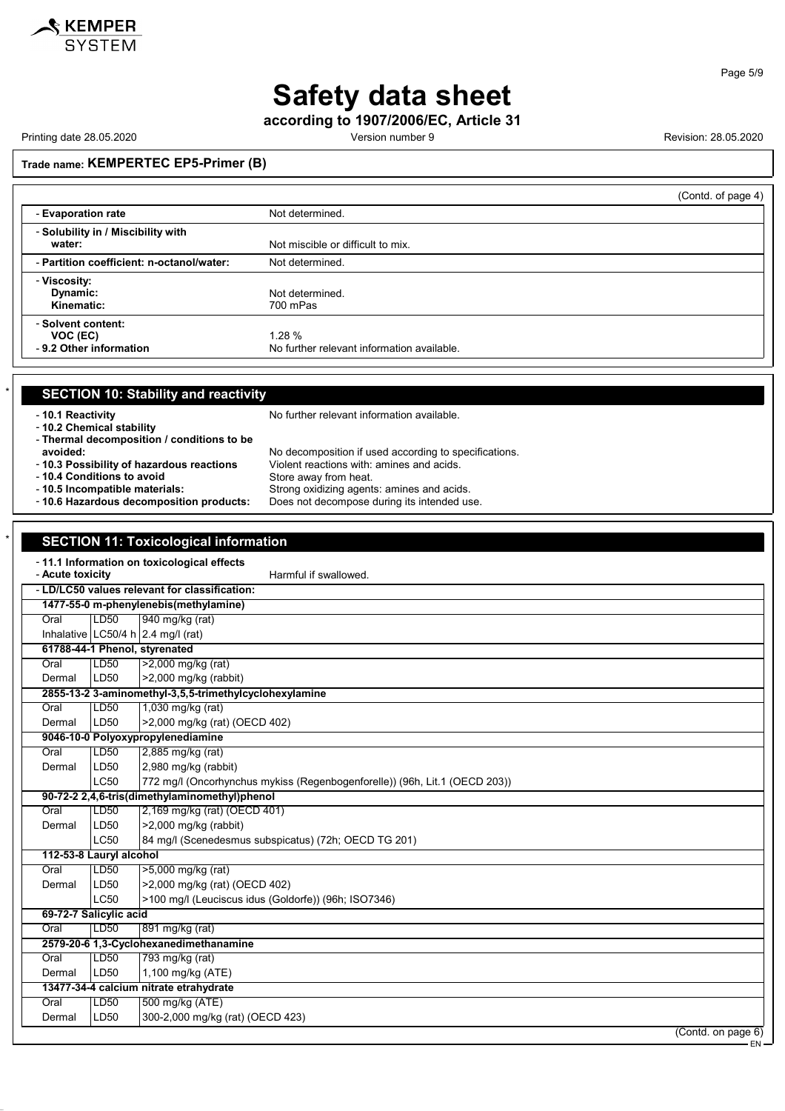

**according to 1907/2006/EC, Article 31**

Printing date 28.05.2020 **Printing date 28.05.2020** Version number 9 **Revision: 28.05.2020** 

## **Trade name: KEMPERTEC EP5-Primer (B)**

|                                                          | (Contd. of page 4)                                  |  |
|----------------------------------------------------------|-----------------------------------------------------|--|
| - Evaporation rate                                       | Not determined.                                     |  |
| - Solubility in / Miscibility with<br>water:             | Not miscible or difficult to mix.                   |  |
| - Partition coefficient: n-octanol/water:                | Not determined.                                     |  |
| - Viscosity:<br>Dynamic:<br>Kinematic:                   | Not determined.<br>700 mPas                         |  |
| - Solvent content:<br>VOC (EC)<br>-9.2 Other information | 1.28%<br>No further relevant information available. |  |

| <b>SECTION 10: Stability and reactivity</b>   |                                                       |
|-----------------------------------------------|-------------------------------------------------------|
| -10.1 Reactivity<br>- 10.2 Chemical stability | No further relevant information available.            |
| - Thermal decomposition / conditions to be    |                                                       |
| avoided:                                      | No decomposition if used according to specifications. |
| - 10.3 Possibility of hazardous reactions     | Violent reactions with: amines and acids.             |
| - 10.4 Conditions to avoid                    | Store away from heat.                                 |
| - 10.5 Incompatible materials:                | Strong oxidizing agents: amines and acids.            |
| - 10.6 Hazardous decomposition products:      | Does not decompose during its intended use.           |

#### **SECTION 11: Toxicological information**

|                  |                         | - 11.1 Information on toxicological effects                                |
|------------------|-------------------------|----------------------------------------------------------------------------|
| - Acute toxicity |                         | Harmful if swallowed.                                                      |
|                  |                         | - LD/LC50 values relevant for classification:                              |
|                  |                         | 1477-55-0 m-phenylenebis(methylamine)                                      |
| Oral             | LD50                    | 940 mg/kg (rat)                                                            |
|                  |                         | Inhalative LC50/4 h $2.4$ mg/l (rat)                                       |
|                  |                         | 61788-44-1 Phenol, styrenated                                              |
| Oral             | LD <sub>50</sub>        | $\sqrt{2,000}$ mg/kg (rat)                                                 |
| Dermal           | LD50                    | >2,000 mg/kg (rabbit)                                                      |
|                  |                         | 2855-13-2 3-aminomethyl-3,5,5-trimethylcyclohexylamine                     |
| Oral             | LD50                    | 1,030 mg/kg (rat)                                                          |
| Dermal           | LD <sub>50</sub>        | >2,000 mg/kg (rat) (OECD 402)                                              |
|                  |                         | 9046-10-0 Polyoxypropylenediamine                                          |
| Oral             | LD50                    | 2,885 mg/kg (rat)                                                          |
| Dermal           | LD50                    | 2,980 mg/kg (rabbit)                                                       |
|                  | <b>LC50</b>             | 772 mg/l (Oncorhynchus mykiss (Regenbogenforelle)) (96h, Lit.1 (OECD 203)) |
|                  |                         | 90-72-2 2,4,6-tris(dimethylaminomethyl)phenol                              |
| Oral             | LD50                    | 2,169 mg/kg (rat) (OECD 401)                                               |
| Dermal           | LD50                    | >2,000 mg/kg (rabbit)                                                      |
|                  | LC50                    | 84 mg/l (Scenedesmus subspicatus) (72h; OECD TG 201)                       |
|                  | 112-53-8 Lauryl alcohol |                                                                            |
| Oral             | LD50                    | >5,000 mg/kg (rat)                                                         |
| Dermal           | LD50                    | >2,000 mg/kg (rat) (OECD 402)                                              |
|                  | <b>LC50</b>             | >100 mg/l (Leuciscus idus (Goldorfe)) (96h; ISO7346)                       |
|                  | 69-72-7 Salicylic acid  |                                                                            |
| Oral             | LD <sub>50</sub>        | 891 mg/kg (rat)                                                            |
|                  |                         | 2579-20-6 1,3-Cyclohexanedimethanamine                                     |
| Oral             | LD50                    | 793 mg/kg (rat)                                                            |
| Dermal           | LD50                    | 1,100 mg/kg (ATE)                                                          |
|                  |                         | 13477-34-4 calcium nitrate etrahydrate                                     |
| Oral             | LD50                    | 500 mg/kg (ATE)                                                            |
| Dermal           | LD50                    | 300-2,000 mg/kg (rat) (OECD 423)                                           |
|                  |                         | (Contd. on page 6)                                                         |
|                  |                         | EN-                                                                        |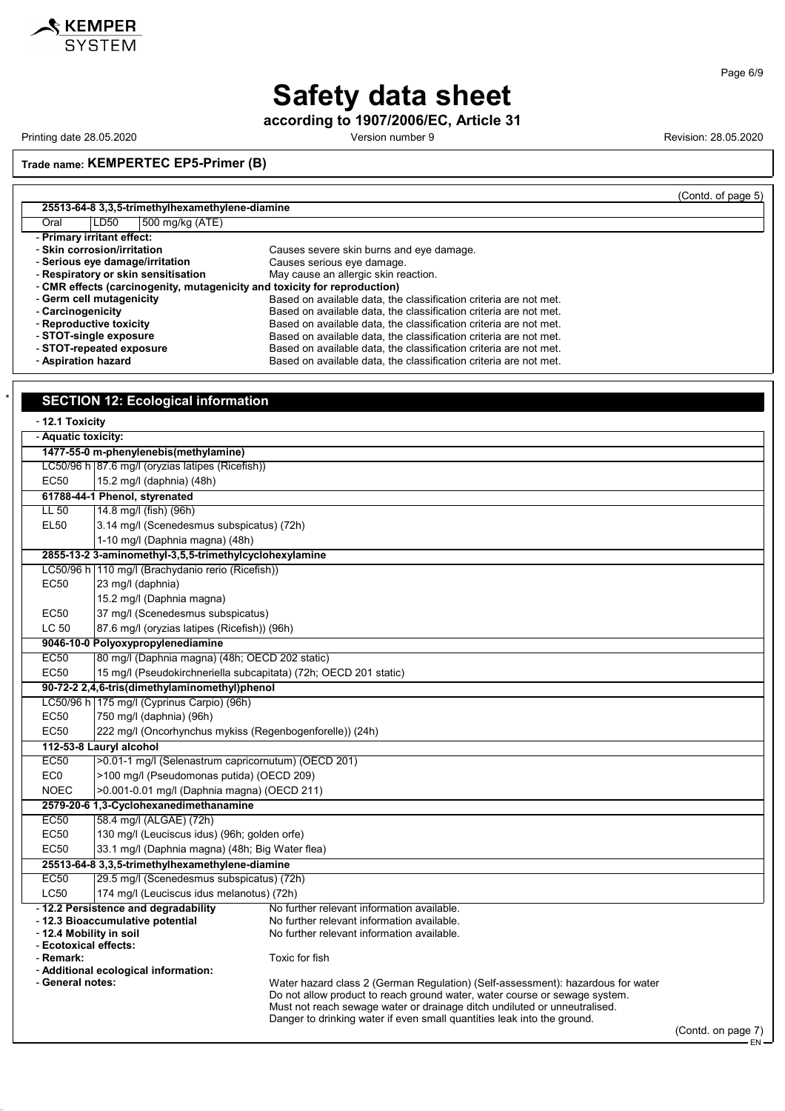

**according to 1907/2006/EC, Article 31**

Printing date 28.05.2020 **Printing date 28.05.2020** Version number 9 **Revision: 28.05.2020** 

**KEMPER**<br>SYSTEM

**Trade name: KEMPERTEC EP5-Primer (B)**

|                                     |                                                 |                                                                           | (Contd. of page 5) |
|-------------------------------------|-------------------------------------------------|---------------------------------------------------------------------------|--------------------|
|                                     | 25513-64-8 3,3,5-trimethylhexamethylene-diamine |                                                                           |                    |
| Oral<br>LD50                        | 500 mg/kg (ATE)                                 |                                                                           |                    |
| - Primary irritant effect:          |                                                 |                                                                           |                    |
| - Skin corrosion/irritation         |                                                 | Causes severe skin burns and eye damage.                                  |                    |
| - Serious eye damage/irritation     |                                                 | Causes serious eye damage.                                                |                    |
| - Respiratory or skin sensitisation |                                                 | May cause an allergic skin reaction.                                      |                    |
|                                     |                                                 | - CMR effects (carcinogenity, mutagenicity and toxicity for reproduction) |                    |
| - Germ cell mutagenicity            |                                                 | Based on available data, the classification criteria are not met.         |                    |
| - Carcinogenicity                   |                                                 | Based on available data, the classification criteria are not met.         |                    |
| - Reproductive toxicity             |                                                 | Based on available data, the classification criteria are not met.         |                    |
| - STOT-single exposure              |                                                 | Based on available data, the classification criteria are not met.         |                    |
| - STOT-repeated exposure            |                                                 | Based on available data, the classification criteria are not met.         |                    |
| - Aspiration hazard                 |                                                 | Based on available data, the classification criteria are not met.         |                    |

|                     | <b>SECTION 12: Ecological information</b>                        |                                                                                                                                                         |
|---------------------|------------------------------------------------------------------|---------------------------------------------------------------------------------------------------------------------------------------------------------|
| - 12.1 Toxicity     |                                                                  |                                                                                                                                                         |
| - Aquatic toxicity: |                                                                  |                                                                                                                                                         |
|                     | 1477-55-0 m-phenylenebis(methylamine)                            |                                                                                                                                                         |
|                     | LC50/96 h 87.6 mg/l (oryzias latipes (Ricefish))                 |                                                                                                                                                         |
| <b>EC50</b>         | 15.2 mg/l (daphnia) (48h)                                        |                                                                                                                                                         |
|                     | 61788-44-1 Phenol, styrenated                                    |                                                                                                                                                         |
| $LL$ 50             | 14.8 mg/l (fish) (96h)                                           |                                                                                                                                                         |
| <b>EL50</b>         | 3.14 mg/l (Scenedesmus subspicatus) (72h)                        |                                                                                                                                                         |
|                     | 1-10 mg/l (Daphnia magna) (48h)                                  |                                                                                                                                                         |
|                     | 2855-13-2 3-aminomethyl-3,5,5-trimethylcyclohexylamine           |                                                                                                                                                         |
|                     | LC50/96 h 110 mg/l (Brachydanio rerio (Ricefish))                |                                                                                                                                                         |
| <b>EC50</b>         | 23 mg/l (daphnia)                                                |                                                                                                                                                         |
|                     | 15.2 mg/l (Daphnia magna)                                        |                                                                                                                                                         |
| EC50                | 37 mg/l (Scenedesmus subspicatus)                                |                                                                                                                                                         |
| LC 50               | 87.6 mg/l (oryzias latipes (Ricefish)) (96h)                     |                                                                                                                                                         |
|                     | 9046-10-0 Polyoxypropylenediamine                                |                                                                                                                                                         |
| EC50                | 80 mg/l (Daphnia magna) (48h; OECD 202 static)                   |                                                                                                                                                         |
| <b>EC50</b>         | 15 mg/l (Pseudokirchneriella subcapitata) (72h; OECD 201 static) |                                                                                                                                                         |
|                     | 90-72-2 2,4,6-tris(dimethylaminomethyl)phenol                    |                                                                                                                                                         |
|                     | LC50/96 h 175 mg/l (Cyprinus Carpio) (96h)                       |                                                                                                                                                         |
| <b>EC50</b>         | 750 mg/l (daphnia) (96h)                                         |                                                                                                                                                         |
| <b>EC50</b>         | 222 mg/l (Oncorhynchus mykiss (Regenbogenforelle)) (24h)         |                                                                                                                                                         |
|                     | 112-53-8 Lauryl alcohol                                          |                                                                                                                                                         |
| EC50                | >0.01-1 mg/l (Selenastrum capricornutum) (OECD 201)              |                                                                                                                                                         |
| EC <sub>0</sub>     | >100 mg/l (Pseudomonas putida) (OECD 209)                        |                                                                                                                                                         |
| <b>NOEC</b>         | >0.001-0.01 mg/l (Daphnia magna) (OECD 211)                      |                                                                                                                                                         |
|                     | 2579-20-6 1,3-Cyclohexanedimethanamine                           |                                                                                                                                                         |
| <b>EC50</b>         | 58.4 mg/l (ALGAE) (72h)                                          |                                                                                                                                                         |
| <b>EC50</b>         | 130 mg/l (Leuciscus idus) (96h; golden orfe)                     |                                                                                                                                                         |
| <b>EC50</b>         | 33.1 mg/l (Daphnia magna) (48h; Big Water flea)                  |                                                                                                                                                         |
|                     | 25513-64-8 3,3,5-trimethylhexamethylene-diamine                  |                                                                                                                                                         |
| <b>EC50</b>         | 29.5 mg/l (Scenedesmus subspicatus) (72h)                        |                                                                                                                                                         |
| <b>LC50</b>         | 174 mg/l (Leuciscus idus melanotus) (72h)                        |                                                                                                                                                         |
|                     | - 12.2 Persistence and degradability                             | No further relevant information available.                                                                                                              |
|                     | - 12.3 Bioaccumulative potential<br>- 12.4 Mobility in soil      | No further relevant information available.<br>No further relevant information available.                                                                |
|                     | - Ecotoxical effects:                                            |                                                                                                                                                         |
| - Remark:           |                                                                  | Toxic for fish                                                                                                                                          |
|                     | - Additional ecological information:                             |                                                                                                                                                         |
| - General notes:    |                                                                  | Water hazard class 2 (German Regulation) (Self-assessment): hazardous for water                                                                         |
|                     |                                                                  | Do not allow product to reach ground water, water course or sewage system.<br>Must not reach sewage water or drainage ditch undiluted or unneutralised. |
|                     |                                                                  | Danger to drinking water if even small quantities leak into the ground.                                                                                 |

Page 6/9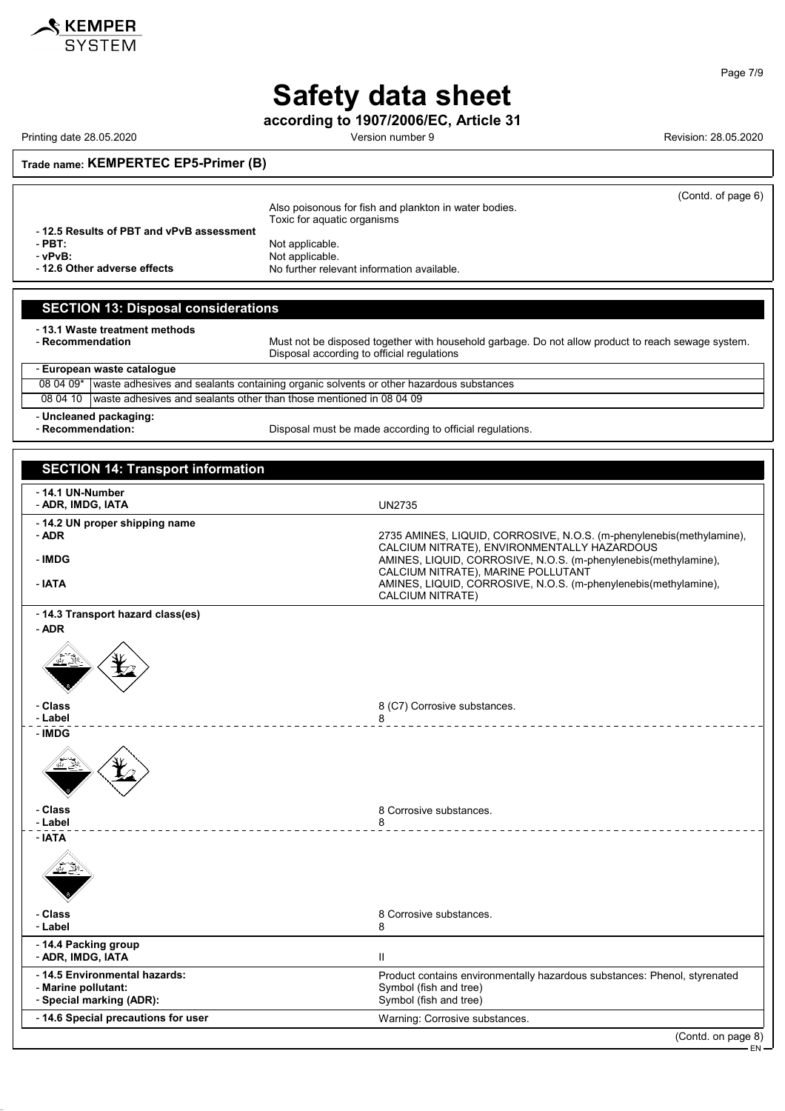

**according to 1907/2006/EC, Article 31**

Printing date 28.05.2020 Version number 9 Revision: 28.05.2020

(Contd. of page 6)

**Trade name: KEMPERTEC EP5-Primer (B)**

Also poisonous for fish and plankton in water bodies. Toxic for aquatic organisms - **12.5 Results of PBT and vPvB assessment** - **PBT:**<br>
- **vPvB:**<br>
Not applicable. verball and **verballs** and **verballs** and **verballs** and **verballs** and **verballs** and **verballs** and **verballs** and **verballs** and **verballs** and **verballs** and **verballs** and **verballs** and **verballs** are not verballs an No further relevant information available.

#### **SECTION 13: Disposal considerations**

- **13.1 Waste treatment methods**

Must not be disposed together with household garbage. Do not allow product to reach sewage system. Disposal according to official regulations

| - European waste catalogue |                                                                                                  |  |
|----------------------------|--------------------------------------------------------------------------------------------------|--|
|                            | 08 04 09* waste adhesives and sealants containing organic solvents or other hazardous substances |  |
|                            | 08 04 10 I waste adhesives and sealants other than those mentioned in 08 04 09                   |  |
|                            |                                                                                                  |  |

- **Uncleaned packaging:**

Disposal must be made according to official regulations.

| <b>SECTION 14: Transport information</b>                                         |                                                                                                                               |
|----------------------------------------------------------------------------------|-------------------------------------------------------------------------------------------------------------------------------|
| - 14.1 UN-Number<br>- ADR, IMDG, IATA                                            | <b>UN2735</b>                                                                                                                 |
| - 14.2 UN proper shipping name<br>- ADR                                          | 2735 AMINES, LIQUID, CORROSIVE, N.O.S. (m-phenylenebis(methylamine),<br>CALCIUM NITRATE), ENVIRONMENTALLY HAZARDOUS           |
| - IMDG                                                                           | AMINES, LIQUID, CORROSIVE, N.O.S. (m-phenylenebis(methylamine),<br>CALCIUM NITRATE), MARINE POLLUTANT                         |
| - IATA                                                                           | AMINES, LIQUID, CORROSIVE, N.O.S. (m-phenylenebis(methylamine),<br><b>CALCIUM NITRATE)</b>                                    |
| - 14.3 Transport hazard class(es)<br>- ADR                                       |                                                                                                                               |
|                                                                                  |                                                                                                                               |
| - Class<br>- Label                                                               | 8 (C7) Corrosive substances.<br>8                                                                                             |
| - IMDG                                                                           |                                                                                                                               |
| - Class<br>- Label                                                               | 8 Corrosive substances.<br>8                                                                                                  |
| - IATA                                                                           |                                                                                                                               |
| - Class<br>- Label                                                               | 8 Corrosive substances.<br>8                                                                                                  |
| - 14.4 Packing group<br>- ADR, IMDG, IATA                                        | Ш                                                                                                                             |
| - 14.5 Environmental hazards:<br>- Marine pollutant:<br>- Special marking (ADR): | Product contains environmentally hazardous substances: Phenol, styrenated<br>Symbol (fish and tree)<br>Symbol (fish and tree) |
| - 14.6 Special precautions for user                                              | Warning: Corrosive substances.                                                                                                |
|                                                                                  | (Contd. on page 8)                                                                                                            |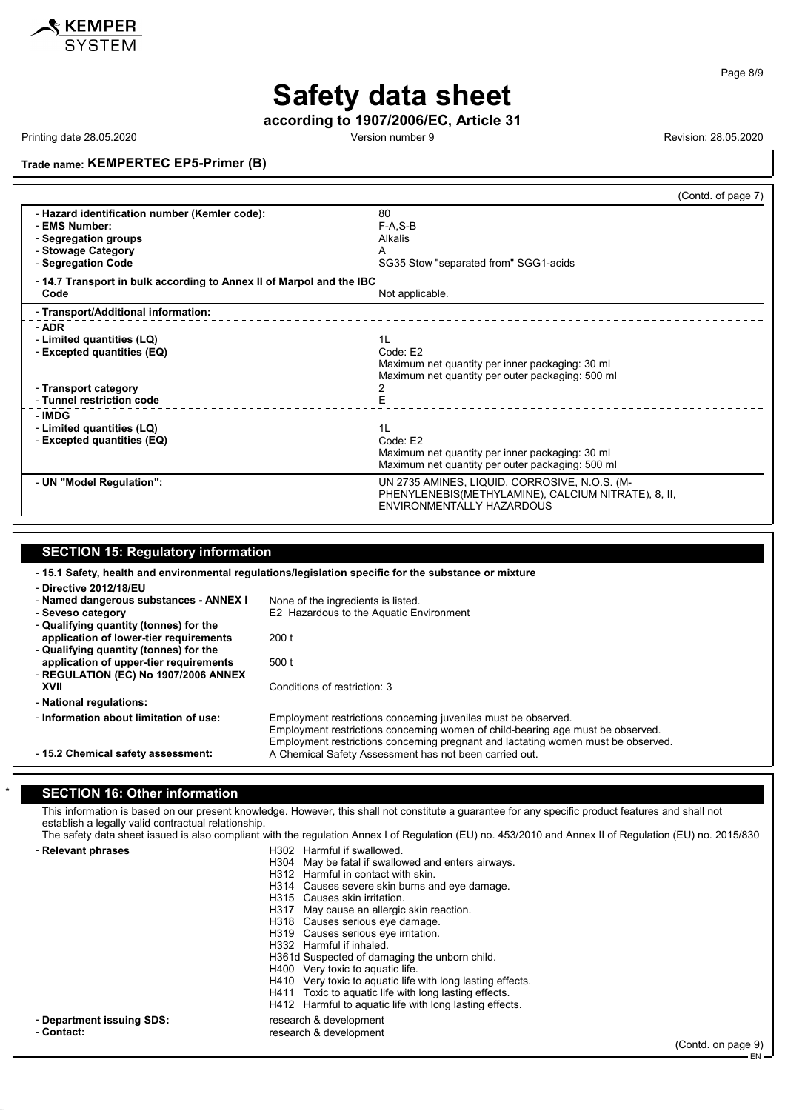

Page 8/9

## **Safety data sheet**

**according to 1907/2006/EC, Article 31**

Printing date 28.05.2020 **Version number 9 Version number 9** Revision: 28.05.2020

**Trade name: KEMPERTEC EP5-Primer (B)**

|                                                                     | (Contd. of page 7)                                                               |  |
|---------------------------------------------------------------------|----------------------------------------------------------------------------------|--|
| - Hazard identification number (Kemler code):                       | 80                                                                               |  |
| - EMS Number:                                                       | $F-A, S-B$                                                                       |  |
| - Segregation groups                                                | Alkalis                                                                          |  |
| - Stowage Category                                                  | А                                                                                |  |
| - Segregation Code                                                  | SG35 Stow "separated from" SGG1-acids                                            |  |
| -14.7 Transport in bulk according to Annex II of Marpol and the IBC |                                                                                  |  |
| Code                                                                | Not applicable.                                                                  |  |
| - Transport/Additional information:                                 |                                                                                  |  |
| - ADR                                                               |                                                                                  |  |
| - Limited quantities (LQ)                                           | 1 <sub>L</sub>                                                                   |  |
| - Excepted quantities (EQ)                                          | Code: E2                                                                         |  |
|                                                                     | Maximum net quantity per inner packaging: 30 ml                                  |  |
|                                                                     | Maximum net quantity per outer packaging: 500 ml                                 |  |
| - Transport category<br>- Tunnel restriction code                   | 2<br>E                                                                           |  |
|                                                                     |                                                                                  |  |
| - IMDG                                                              |                                                                                  |  |
| - Limited quantities (LQ)<br>- Excepted quantities (EQ)             | 1L<br>Code: E2                                                                   |  |
|                                                                     | Maximum net quantity per inner packaging: 30 ml                                  |  |
|                                                                     | Maximum net quantity per outer packaging: 500 ml                                 |  |
|                                                                     |                                                                                  |  |
| - UN "Model Regulation":                                            | UN 2735 AMINES, LIQUID, CORROSIVE, N.O.S. (M-                                    |  |
|                                                                     | PHENYLENEBIS(METHYLAMINE), CALCIUM NITRATE), 8, II,<br>ENVIRONMENTALLY HAZARDOUS |  |
|                                                                     |                                                                                  |  |

## **SECTION 15: Regulatory information**

- **15.1 Safety, health and environmental regulations/legislation specific for the substance or mixture** - **Directive 2012/18/EU** - **Named dangerous substances - ANNEX I** None of the ingredients is listed.<br>- Seveso category E2 Hazardous to the Aquatic Er **E2 Hazardous to the Aquatic Environment** - **Qualifying quantity (tonnes) for the application of lower-tier requirements** 200 t - **Qualifying quantity (tonnes) for the application of upper-tier requirements** 500 t - **REGULATION (EC) No 1907/2006 ANNEX** Conditions of restriction: 3 - **National regulations:** - **Information about limitation of use:** Employment restrictions concerning juveniles must be observed. Employment restrictions concerning women of child-bearing age must be observed. Employment restrictions concerning pregnant and lactating women must be observed. - **15.2 Chemical safety assessment:** A Chemical Safety Assessment has not been carried out.

#### **SECTION 16: Other information**

This information is based on our present knowledge. However, this shall not constitute a guarantee for any specific product features and shall not establish a legally valid contractual relationship.

The safety data sheet issued is also compliant with the regulation Annex I of Regulation (EU) no. 453/2010 and Annex II of Regulation (EU) no. 2015/830 - **Relevant phrases** H302 Harmful if swallowed.

|                           | H304 May be fatal if swallowed and enters airways.         |
|---------------------------|------------------------------------------------------------|
|                           | H312 Harmful in contact with skin.                         |
|                           | H314 Causes severe skin burns and eye damage.              |
|                           | H315 Causes skin irritation.                               |
|                           | H317 May cause an allergic skin reaction.                  |
|                           | H318 Causes serious eye damage.                            |
|                           | H319 Causes serious eye irritation.                        |
|                           | H332 Harmful if inhaled.                                   |
|                           | H361d Suspected of damaging the unborn child.              |
|                           | H400 Very toxic to aquatic life.                           |
|                           | H410 Very toxic to aquatic life with long lasting effects. |
|                           | H411 Toxic to aguatic life with long lasting effects.      |
|                           | H412 Harmful to aquatic life with long lasting effects.    |
| - Department issuing SDS: |                                                            |
|                           | research & development                                     |
| - Contact:                | research & development                                     |